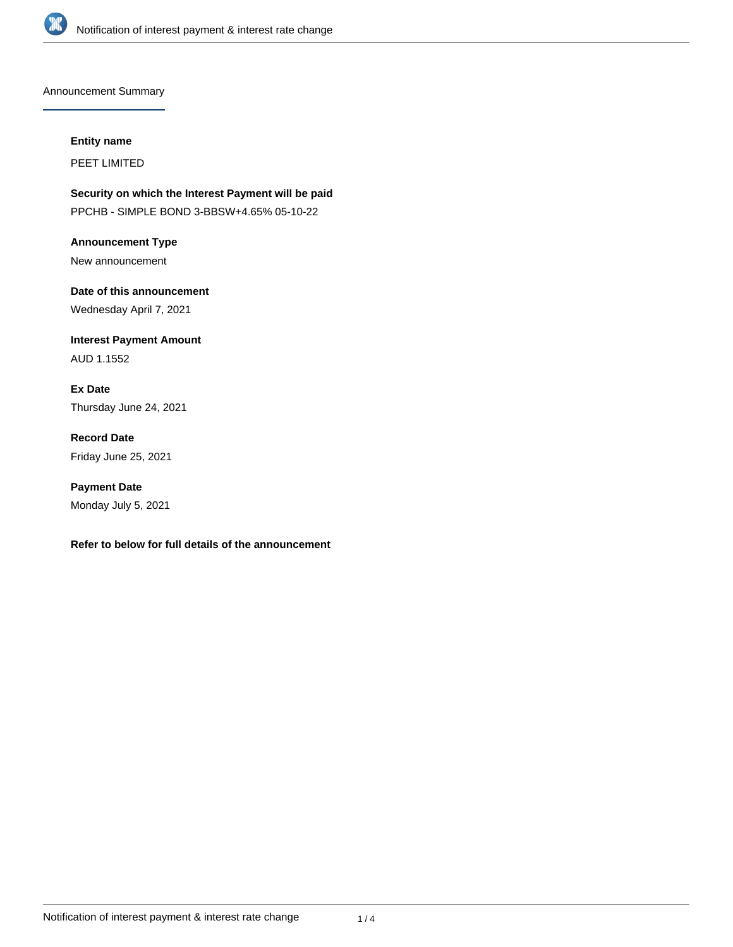

Announcement Summary

### **Entity name**

PEET LIMITED

**Security on which the Interest Payment will be paid** PPCHB - SIMPLE BOND 3-BBSW+4.65% 05-10-22

**Announcement Type** New announcement

**Date of this announcement** Wednesday April 7, 2021

**Interest Payment Amount** AUD 1.1552

**Ex Date** Thursday June 24, 2021

**Record Date** Friday June 25, 2021

**Payment Date** Monday July 5, 2021

# **Refer to below for full details of the announcement**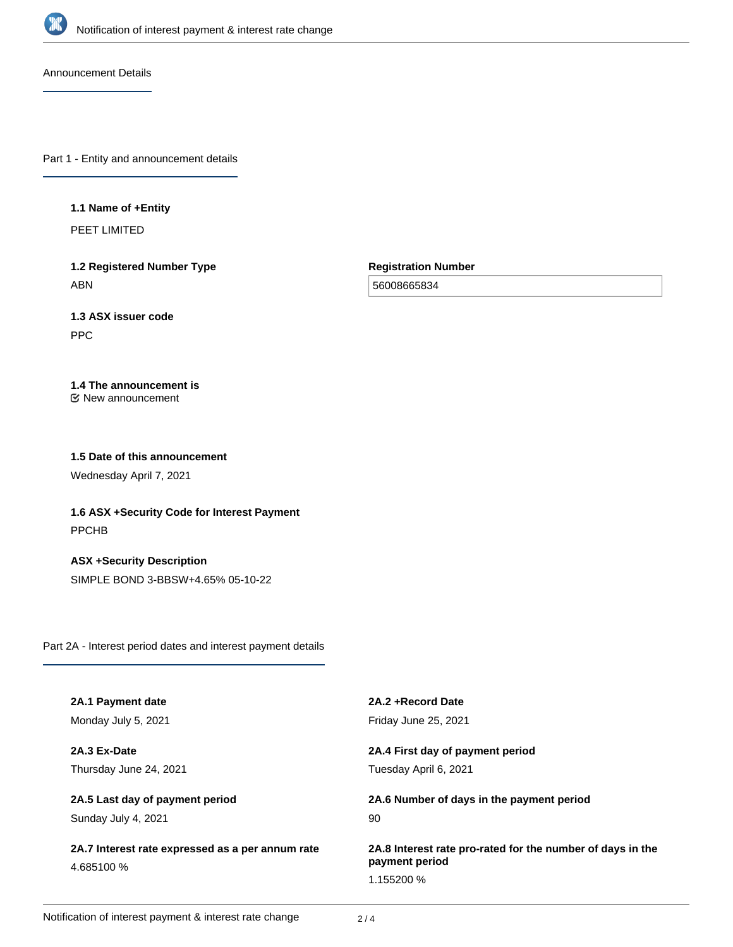

Announcement Details

Part 1 - Entity and announcement details

### **1.1 Name of +Entity**

PEET LIMITED

**1.2 Registered Number Type** ABN

**Registration Number**

56008665834

# **1.3 ASX issuer code**

PPC

# **1.4 The announcement is**

New announcement

## **1.5 Date of this announcement**

Wednesday April 7, 2021

**1.6 ASX +Security Code for Interest Payment** PPCHB

**ASX +Security Description** SIMPLE BOND 3-BBSW+4.65% 05-10-22

Part 2A - Interest period dates and interest payment details

| 2A.1 Payment date                                | 2A.2 + Record Date                                         |
|--------------------------------------------------|------------------------------------------------------------|
| Monday July 5, 2021                              | Friday June 25, 2021                                       |
| 2A.3 Ex-Date                                     | 2A.4 First day of payment period                           |
| Thursday June 24, 2021                           | Tuesday April 6, 2021                                      |
| 2A.5 Last day of payment period                  | 2A.6 Number of days in the payment period                  |
| Sunday July 4, 2021                              | 90                                                         |
| 2A.7 Interest rate expressed as a per annum rate | 2A.8 Interest rate pro-rated for the number of days in the |
| 4.685100 %                                       | payment period                                             |
|                                                  | 1.155200 %                                                 |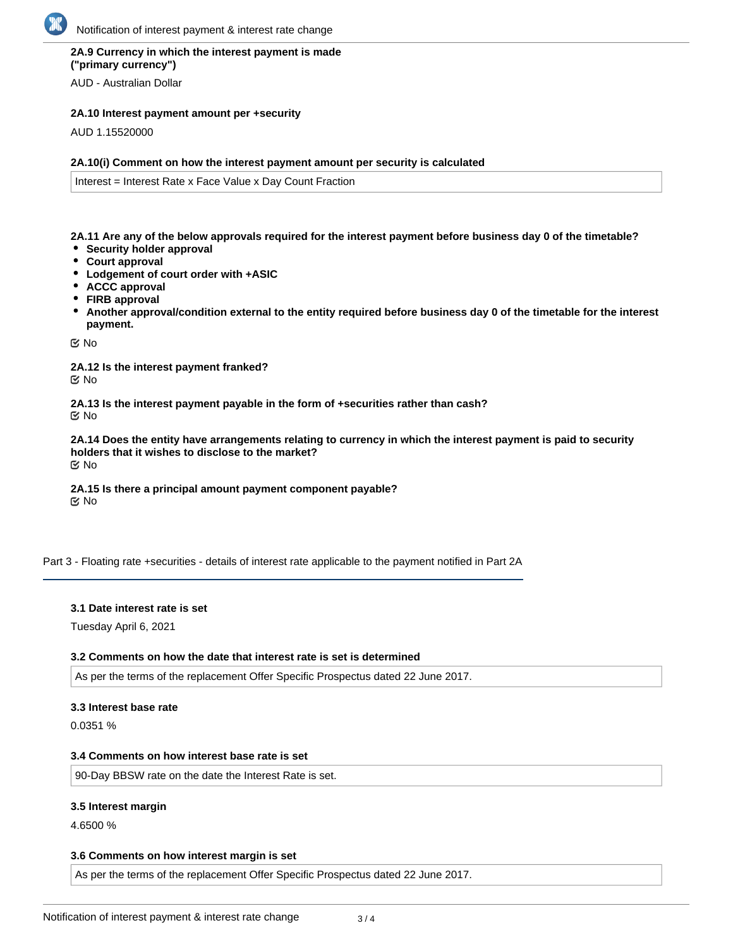# **2A.9 Currency in which the interest payment is made ("primary currency")**

AUD - Australian Dollar

### **2A.10 Interest payment amount per +security**

AUD 1.15520000

### **2A.10(i) Comment on how the interest payment amount per security is calculated**

Interest = Interest Rate x Face Value x Day Count Fraction

**2A.11 Are any of the below approvals required for the interest payment before business day 0 of the timetable?**

- **Security holder approval**
- **Court approval**
- **Lodgement of court order with +ASIC**
- **ACCC approval**
- **FIRB approval**
- **Another approval/condition external to the entity required before business day 0 of the timetable for the interest payment.**

No

**2A.12 Is the interest payment franked?** No

**2A.13 Is the interest payment payable in the form of +securities rather than cash?** No

**2A.14 Does the entity have arrangements relating to currency in which the interest payment is paid to security holders that it wishes to disclose to the market?** No

**2A.15 Is there a principal amount payment component payable? K** No

Part 3 - Floating rate +securities - details of interest rate applicable to the payment notified in Part 2A

### **3.1 Date interest rate is set**

Tuesday April 6, 2021

### **3.2 Comments on how the date that interest rate is set is determined**

As per the terms of the replacement Offer Specific Prospectus dated 22 June 2017.

#### **3.3 Interest base rate**

0.0351 %

#### **3.4 Comments on how interest base rate is set**

90-Day BBSW rate on the date the Interest Rate is set.

### **3.5 Interest margin**

4.6500 %

### **3.6 Comments on how interest margin is set**

As per the terms of the replacement Offer Specific Prospectus dated 22 June 2017.